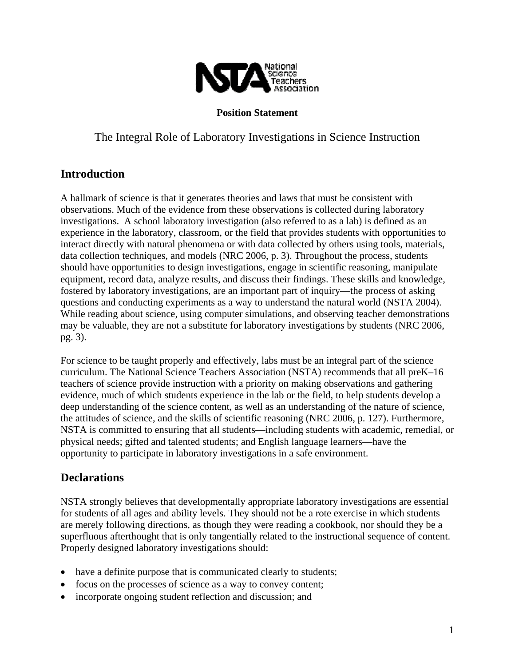

#### **Position Statement**

## The Integral Role of Laboratory Investigations in Science Instruction

## **Introduction**

A hallmark of science is that it generates theories and laws that must be consistent with observations. Much of the evidence from these observations is collected during laboratory investigations. A school laboratory investigation (also referred to as a lab) is defined as an experience in the laboratory, classroom, or the field that provides students with opportunities to interact directly with natural phenomena or with data collected by others using tools, materials, data collection techniques, and models (NRC 2006, p. 3). Throughout the process, students should have opportunities to design investigations, engage in scientific reasoning, manipulate equipment, record data, analyze results, and discuss their findings. These skills and knowledge, fostered by laboratory investigations, are an important part of inquiry—the process of asking questions and conducting experiments as a way to understand the natural world (NSTA 2004). While reading about science, using computer simulations, and observing teacher demonstrations may be valuable, they are not a substitute for laboratory investigations by students (NRC 2006, pg. 3).

For science to be taught properly and effectively, labs must be an integral part of the science curriculum. The National Science Teachers Association (NSTA) recommends that all preK–16 teachers of science provide instruction with a priority on making observations and gathering evidence, much of which students experience in the lab or the field, to help students develop a deep understanding of the science content, as well as an understanding of the nature of science, the attitudes of science, and the skills of scientific reasoning (NRC 2006, p. 127). Furthermore, NSTA is committed to ensuring that all students—including students with academic, remedial, or physical needs; gifted and talented students; and English language learners—have the opportunity to participate in laboratory investigations in a safe environment.

# **Declarations**

NSTA strongly believes that developmentally appropriate laboratory investigations are essential for students of all ages and ability levels. They should not be a rote exercise in which students are merely following directions, as though they were reading a cookbook, nor should they be a superfluous afterthought that is only tangentially related to the instructional sequence of content. Properly designed laboratory investigations should:

- have a definite purpose that is communicated clearly to students;
- focus on the processes of science as a way to convey content;
- incorporate ongoing student reflection and discussion; and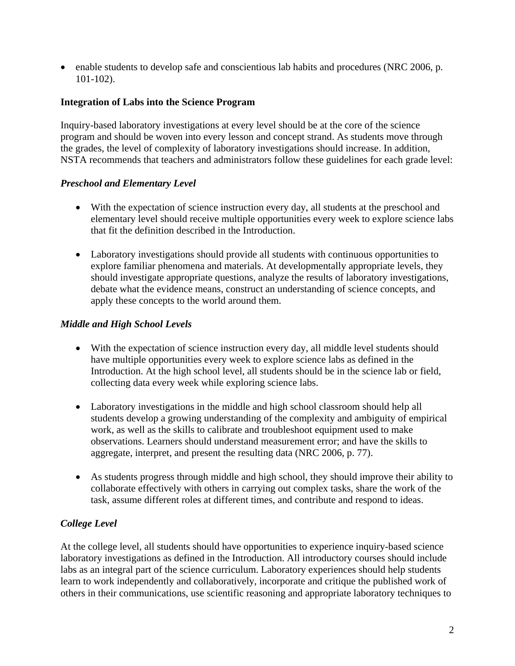• enable students to develop safe and conscientious lab habits and procedures (NRC 2006, p. 101-102).

### **Integration of Labs into the Science Program**

Inquiry-based laboratory investigations at every level should be at the core of the science program and should be woven into every lesson and concept strand. As students move through the grades, the level of complexity of laboratory investigations should increase. In addition, NSTA recommends that teachers and administrators follow these guidelines for each grade level:

#### *Preschool and Elementary Level*

- With the expectation of science instruction every day, all students at the preschool and elementary level should receive multiple opportunities every week to explore science labs that fit the definition described in the Introduction.
- Laboratory investigations should provide all students with continuous opportunities to explore familiar phenomena and materials. At developmentally appropriate levels, they should investigate appropriate questions, analyze the results of laboratory investigations, debate what the evidence means, construct an understanding of science concepts, and apply these concepts to the world around them.

### *Middle and High School Levels*

- With the expectation of science instruction every day, all middle level students should have multiple opportunities every week to explore science labs as defined in the Introduction. At the high school level, all students should be in the science lab or field, collecting data every week while exploring science labs.
- Laboratory investigations in the middle and high school classroom should help all students develop a growing understanding of the complexity and ambiguity of empirical work, as well as the skills to calibrate and troubleshoot equipment used to make observations. Learners should understand measurement error; and have the skills to aggregate, interpret, and present the resulting data (NRC 2006, p. 77).
- As students progress through middle and high school, they should improve their ability to collaborate effectively with others in carrying out complex tasks, share the work of the task, assume different roles at different times, and contribute and respond to ideas.

## *College Level*

At the college level, all students should have opportunities to experience inquiry-based science laboratory investigations as defined in the Introduction. All introductory courses should include labs as an integral part of the science curriculum. Laboratory experiences should help students learn to work independently and collaboratively, incorporate and critique the published work of others in their communications, use scientific reasoning and appropriate laboratory techniques to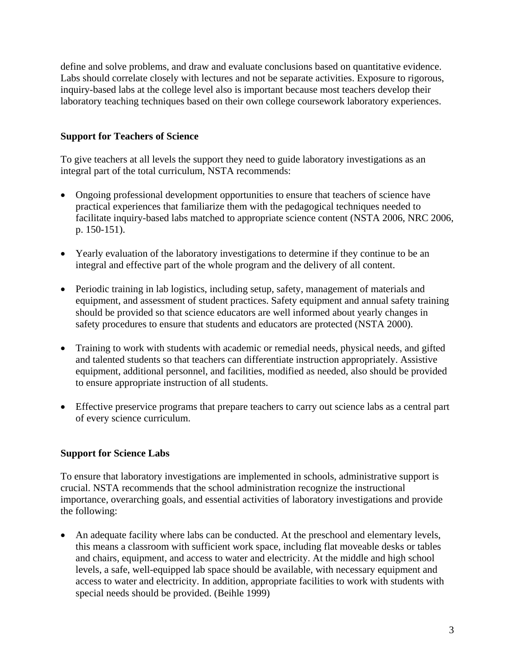define and solve problems, and draw and evaluate conclusions based on quantitative evidence. Labs should correlate closely with lectures and not be separate activities. Exposure to rigorous, inquiry-based labs at the college level also is important because most teachers develop their laboratory teaching techniques based on their own college coursework laboratory experiences.

#### **Support for Teachers of Science**

To give teachers at all levels the support they need to guide laboratory investigations as an integral part of the total curriculum, NSTA recommends:

- Ongoing professional development opportunities to ensure that teachers of science have practical experiences that familiarize them with the pedagogical techniques needed to facilitate inquiry-based labs matched to appropriate science content (NSTA 2006, NRC 2006, p. 150-151).
- Yearly evaluation of the laboratory investigations to determine if they continue to be an integral and effective part of the whole program and the delivery of all content.
- Periodic training in lab logistics, including setup, safety, management of materials and equipment, and assessment of student practices. Safety equipment and annual safety training should be provided so that science educators are well informed about yearly changes in safety procedures to ensure that students and educators are protected (NSTA 2000).
- Training to work with students with academic or remedial needs, physical needs, and gifted and talented students so that teachers can differentiate instruction appropriately. Assistive equipment, additional personnel, and facilities, modified as needed, also should be provided to ensure appropriate instruction of all students.
- Effective preservice programs that prepare teachers to carry out science labs as a central part of every science curriculum.

## **Support for Science Labs**

To ensure that laboratory investigations are implemented in schools, administrative support is crucial. NSTA recommends that the school administration recognize the instructional importance, overarching goals, and essential activities of laboratory investigations and provide the following:

• An adequate facility where labs can be conducted. At the preschool and elementary levels, this means a classroom with sufficient work space, including flat moveable desks or tables and chairs, equipment, and access to water and electricity. At the middle and high school levels, a safe, well-equipped lab space should be available, with necessary equipment and access to water and electricity. In addition, appropriate facilities to work with students with special needs should be provided. (Beihle 1999)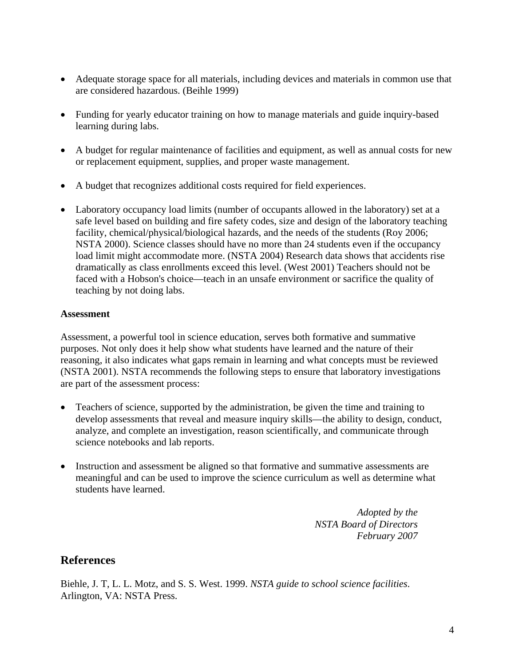- Adequate storage space for all materials, including devices and materials in common use that are considered hazardous. (Beihle 1999)
- Funding for yearly educator training on how to manage materials and guide inquiry-based learning during labs.
- A budget for regular maintenance of facilities and equipment, as well as annual costs for new or replacement equipment, supplies, and proper waste management.
- A budget that recognizes additional costs required for field experiences.
- Laboratory occupancy load limits (number of occupants allowed in the laboratory) set at a safe level based on building and fire safety codes, size and design of the laboratory teaching facility, chemical/physical/biological hazards, and the needs of the students (Roy 2006; NSTA 2000). Science classes should have no more than 24 students even if the occupancy load limit might accommodate more. (NSTA 2004) Research data shows that accidents rise dramatically as class enrollments exceed this level. (West 2001) Teachers should not be faced with a Hobson's choice—teach in an unsafe environment or sacrifice the quality of teaching by not doing labs.

#### **Assessment**

Assessment, a powerful tool in science education, serves both formative and summative purposes. Not only does it help show what students have learned and the nature of their reasoning, it also indicates what gaps remain in learning and what concepts must be reviewed (NSTA 2001). NSTA recommends the following steps to ensure that laboratory investigations are part of the assessment process:

- Teachers of science, supported by the administration, be given the time and training to develop assessments that reveal and measure inquiry skills—the ability to design, conduct, analyze, and complete an investigation, reason scientifically, and communicate through science notebooks and lab reports.
- Instruction and assessment be aligned so that formative and summative assessments are meaningful and can be used to improve the science curriculum as well as determine what students have learned.

*Adopted by the NSTA Board of Directors February 2007* 

## **References**

Biehle, J. T, L. L. Motz, and S. S. West. 1999. *NSTA guide to school science facilities*. Arlington, VA: NSTA Press.